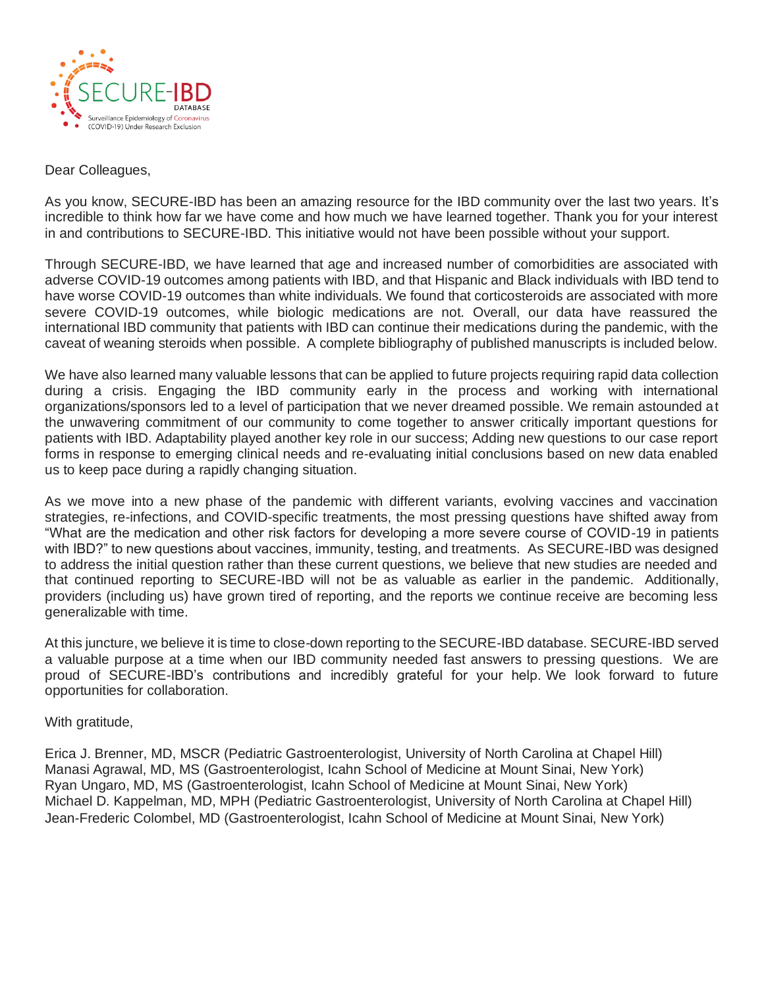

## Dear Colleagues,

As you know, SECURE-IBD has been an amazing resource for the IBD community over the last two years. It's incredible to think how far we have come and how much we have learned together. Thank you for your interest in and contributions to SECURE-IBD. This initiative would not have been possible without your support.

Through SECURE-IBD, we have learned that age and increased number of comorbidities are associated with adverse COVID-19 outcomes among patients with IBD, and that Hispanic and Black individuals with IBD tend to have worse COVID-19 outcomes than white individuals. We found that corticosteroids are associated with more severe COVID-19 outcomes, while biologic medications are not. Overall, our data have reassured the international IBD community that patients with IBD can continue their medications during the pandemic, with the caveat of weaning steroids when possible. A complete bibliography of published manuscripts is included below.

We have also learned many valuable lessons that can be applied to future projects requiring rapid data collection during a crisis. Engaging the IBD community early in the process and working with international organizations/sponsors led to a level of participation that we never dreamed possible. We remain astounded at the unwavering commitment of our community to come together to answer critically important questions for patients with IBD. Adaptability played another key role in our success; Adding new questions to our case report forms in response to emerging clinical needs and re-evaluating initial conclusions based on new data enabled us to keep pace during a rapidly changing situation.

As we move into a new phase of the pandemic with different variants, evolving vaccines and vaccination strategies, re-infections, and COVID-specific treatments, the most pressing questions have shifted away from "What are the medication and other risk factors for developing a more severe course of COVID-19 in patients with IBD?" to new questions about vaccines, immunity, testing, and treatments. As SECURE-IBD was designed to address the initial question rather than these current questions, we believe that new studies are needed and that continued reporting to SECURE-IBD will not be as valuable as earlier in the pandemic. Additionally, providers (including us) have grown tired of reporting, and the reports we continue receive are becoming less generalizable with time.

At this juncture, we believe it is time to close-down reporting to the SECURE-IBD database. SECURE-IBD served a valuable purpose at a time when our IBD community needed fast answers to pressing questions. We are proud of SECURE-IBD's contributions and incredibly grateful for your help. We look forward to future opportunities for collaboration.

## With gratitude,

Erica J. Brenner, MD, MSCR (Pediatric Gastroenterologist, University of North Carolina at Chapel Hill) Manasi Agrawal, MD, MS (Gastroenterologist, Icahn School of Medicine at Mount Sinai, New York) Ryan Ungaro, MD, MS (Gastroenterologist, Icahn School of Medicine at Mount Sinai, New York) Michael D. Kappelman, MD, MPH (Pediatric Gastroenterologist, University of North Carolina at Chapel Hill) Jean-Frederic Colombel, MD (Gastroenterologist, Icahn School of Medicine at Mount Sinai, New York)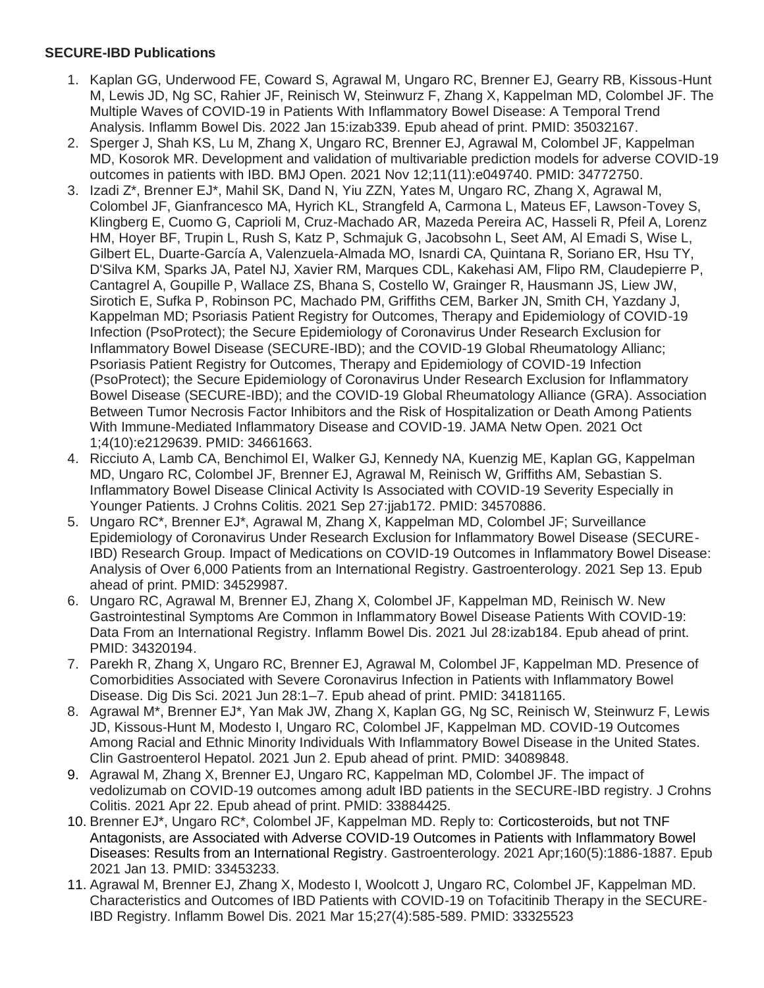## **SECURE-IBD Publications**

- 1. Kaplan GG, Underwood FE, Coward S, Agrawal M, Ungaro RC, Brenner EJ, Gearry RB, Kissous-Hunt M, Lewis JD, Ng SC, Rahier JF, Reinisch W, Steinwurz F, Zhang X, Kappelman MD, Colombel JF. The Multiple Waves of COVID-19 in Patients With Inflammatory Bowel Disease: A Temporal Trend Analysis. Inflamm Bowel Dis. 2022 Jan 15:izab339. Epub ahead of print. PMID: 35032167.
- 2. Sperger J, Shah KS, Lu M, Zhang X, Ungaro RC, Brenner EJ, Agrawal M, Colombel JF, Kappelman MD, Kosorok MR. Development and validation of multivariable prediction models for adverse COVID-19 outcomes in patients with IBD. BMJ Open. 2021 Nov 12;11(11):e049740. PMID: 34772750.
- 3. Izadi Z\*, Brenner EJ\*, Mahil SK, Dand N, Yiu ZZN, Yates M, Ungaro RC, Zhang X, Agrawal M, Colombel JF, Gianfrancesco MA, Hyrich KL, Strangfeld A, Carmona L, Mateus EF, Lawson-Tovey S, Klingberg E, Cuomo G, Caprioli M, Cruz-Machado AR, Mazeda Pereira AC, Hasseli R, Pfeil A, Lorenz HM, Hoyer BF, Trupin L, Rush S, Katz P, Schmajuk G, Jacobsohn L, Seet AM, Al Emadi S, Wise L, Gilbert EL, Duarte-García A, Valenzuela-Almada MO, Isnardi CA, Quintana R, Soriano ER, Hsu TY, D'Silva KM, Sparks JA, Patel NJ, Xavier RM, Marques CDL, Kakehasi AM, Flipo RM, Claudepierre P, Cantagrel A, Goupille P, Wallace ZS, Bhana S, Costello W, Grainger R, Hausmann JS, Liew JW, Sirotich E, Sufka P, Robinson PC, Machado PM, Griffiths CEM, Barker JN, Smith CH, Yazdany J, Kappelman MD; Psoriasis Patient Registry for Outcomes, Therapy and Epidemiology of COVID-19 Infection (PsoProtect); the Secure Epidemiology of Coronavirus Under Research Exclusion for Inflammatory Bowel Disease (SECURE-IBD); and the COVID-19 Global Rheumatology Allianc; Psoriasis Patient Registry for Outcomes, Therapy and Epidemiology of COVID-19 Infection (PsoProtect); the Secure Epidemiology of Coronavirus Under Research Exclusion for Inflammatory Bowel Disease (SECURE-IBD); and the COVID-19 Global Rheumatology Alliance (GRA). Association Between Tumor Necrosis Factor Inhibitors and the Risk of Hospitalization or Death Among Patients With Immune-Mediated Inflammatory Disease and COVID-19. JAMA Netw Open. 2021 Oct 1;4(10):e2129639. PMID: 34661663.
- 4. Ricciuto A, Lamb CA, Benchimol EI, Walker GJ, Kennedy NA, Kuenzig ME, Kaplan GG, Kappelman MD, Ungaro RC, Colombel JF, Brenner EJ, Agrawal M, Reinisch W, Griffiths AM, Sebastian S. Inflammatory Bowel Disease Clinical Activity Is Associated with COVID-19 Severity Especially in Younger Patients. J Crohns Colitis. 2021 Sep 27:jjab172. PMID: 34570886.
- 5. Ungaro RC\*, Brenner EJ\*, Agrawal M, Zhang X, Kappelman MD, Colombel JF; Surveillance Epidemiology of Coronavirus Under Research Exclusion for Inflammatory Bowel Disease (SECURE-IBD) Research Group. Impact of Medications on COVID-19 Outcomes in Inflammatory Bowel Disease: Analysis of Over 6,000 Patients from an International Registry. Gastroenterology. 2021 Sep 13. Epub ahead of print. PMID: 34529987.
- 6. Ungaro RC, Agrawal M, Brenner EJ, Zhang X, Colombel JF, Kappelman MD, Reinisch W. New Gastrointestinal Symptoms Are Common in Inflammatory Bowel Disease Patients With COVID-19: Data From an International Registry. Inflamm Bowel Dis. 2021 Jul 28:izab184. Epub ahead of print. PMID: 34320194.
- 7. Parekh R, Zhang X, Ungaro RC, Brenner EJ, Agrawal M, Colombel JF, Kappelman MD. Presence of Comorbidities Associated with Severe Coronavirus Infection in Patients with Inflammatory Bowel Disease. Dig Dis Sci. 2021 Jun 28:1–7. Epub ahead of print. PMID: 34181165.
- 8. Agrawal M\*, Brenner EJ\*, Yan Mak JW, Zhang X, Kaplan GG, Ng SC, Reinisch W, Steinwurz F, Lewis JD, Kissous-Hunt M, Modesto I, Ungaro RC, Colombel JF, Kappelman MD. COVID-19 Outcomes Among Racial and Ethnic Minority Individuals With Inflammatory Bowel Disease in the United States. Clin Gastroenterol Hepatol. 2021 Jun 2. Epub ahead of print. PMID: 34089848.
- 9. Agrawal M, Zhang X, Brenner EJ, Ungaro RC, Kappelman MD, Colombel JF. The impact of vedolizumab on COVID-19 outcomes among adult IBD patients in the SECURE-IBD registry. J Crohns Colitis. 2021 Apr 22. Epub ahead of print. PMID: 33884425.
- 10. Brenner EJ\*, Ungaro RC\*, Colombel JF, Kappelman MD. Reply to: Corticosteroids, but not TNF Antagonists, are Associated with Adverse COVID-19 Outcomes in Patients with Inflammatory Bowel Diseases: Results from an International Registry. Gastroenterology. 2021 Apr;160(5):1886-1887. Epub 2021 Jan 13. PMID: 33453233.
- 11. Agrawal M, Brenner EJ, Zhang X, Modesto I, Woolcott J, Ungaro RC, Colombel JF, Kappelman MD. Characteristics and Outcomes of IBD Patients with COVID-19 on Tofacitinib Therapy in the SECURE-IBD Registry. Inflamm Bowel Dis. 2021 Mar 15;27(4):585-589. PMID: 33325523